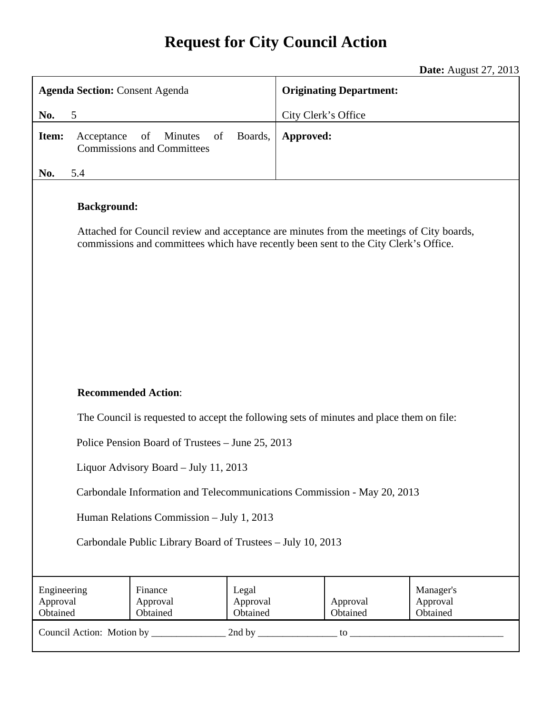# **Request for City Council Action**

**Date:** August 27, 2013

| <b>Agenda Section: Consent Agenda</b>                                                                                                                                                                  |                                 | <b>Originating Department:</b> |  |                      |                                   |
|--------------------------------------------------------------------------------------------------------------------------------------------------------------------------------------------------------|---------------------------------|--------------------------------|--|----------------------|-----------------------------------|
| No.<br>5                                                                                                                                                                                               |                                 | City Clerk's Office            |  |                      |                                   |
| of<br>Minutes<br>of<br>Boards,<br>Item:<br>Acceptance<br><b>Commissions and Committees</b>                                                                                                             |                                 | Approved:                      |  |                      |                                   |
| 5.4<br>No.                                                                                                                                                                                             |                                 |                                |  |                      |                                   |
| <b>Background:</b><br>Attached for Council review and acceptance are minutes from the meetings of City boards,<br>commissions and committees which have recently been sent to the City Clerk's Office. |                                 |                                |  |                      |                                   |
| <b>Recommended Action:</b>                                                                                                                                                                             |                                 |                                |  |                      |                                   |
| The Council is requested to accept the following sets of minutes and place them on file:                                                                                                               |                                 |                                |  |                      |                                   |
| Police Pension Board of Trustees – June 25, 2013                                                                                                                                                       |                                 |                                |  |                      |                                   |
| Liquor Advisory Board - July 11, 2013                                                                                                                                                                  |                                 |                                |  |                      |                                   |
| Carbondale Information and Telecommunications Commission - May 20, 2013                                                                                                                                |                                 |                                |  |                      |                                   |
| Human Relations Commission - July 1, 2013                                                                                                                                                              |                                 |                                |  |                      |                                   |
| Carbondale Public Library Board of Trustees - July 10, 2013                                                                                                                                            |                                 |                                |  |                      |                                   |
| Engineering<br>Approval<br>Obtained                                                                                                                                                                    | Finance<br>Approval<br>Obtained | Legal<br>Approval<br>Obtained  |  | Approval<br>Obtained | Manager's<br>Approval<br>Obtained |
|                                                                                                                                                                                                        |                                 |                                |  |                      |                                   |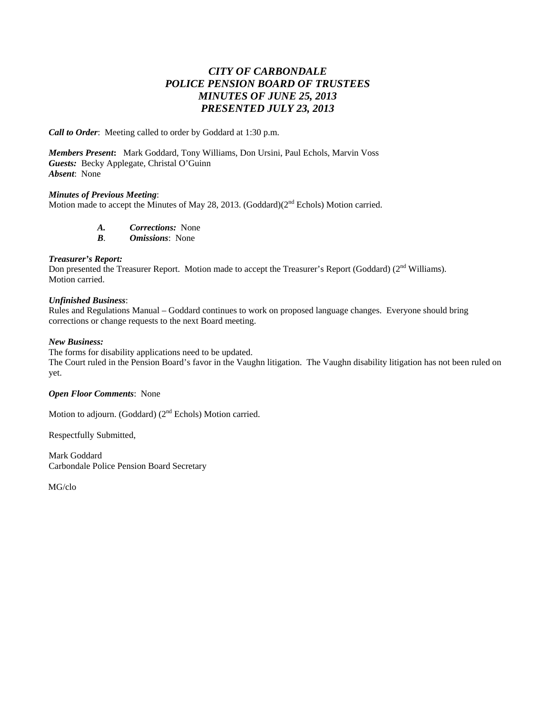## *CITY OF CARBONDALE POLICE PENSION BOARD OF TRUSTEES MINUTES OF JUNE 25, 2013 PRESENTED JULY 23, 2013*

*Call to Order*: Meeting called to order by Goddard at 1:30 p.m.

*Members Present***:** Mark Goddard, Tony Williams, Don Ursini, Paul Echols, Marvin Voss *Guests:* Becky Applegate, Christal O'Guinn *Absent*: None

#### *Minutes of Previous Meeting*:

Motion made to accept the Minutes of May 28, 2013. (Goddard) $(2<sup>nd</sup>$  Echols) Motion carried.

*A. Corrections:* None

*B*. *Omissions*: None

#### *Treasurer's Report:*

Don presented the Treasurer Report. Motion made to accept the Treasurer's Report (Goddard) (2<sup>nd</sup> Williams). Motion carried.

#### *Unfinished Business*:

Rules and Regulations Manual – Goddard continues to work on proposed language changes. Everyone should bring corrections or change requests to the next Board meeting.

#### *New Business:*

The forms for disability applications need to be updated.

The Court ruled in the Pension Board's favor in the Vaughn litigation. The Vaughn disability litigation has not been ruled on yet.

#### *Open Floor Comments*: None

Motion to adjourn. (Goddard) (2<sup>nd</sup> Echols) Motion carried.

Respectfully Submitted,

Mark Goddard Carbondale Police Pension Board Secretary

MG/clo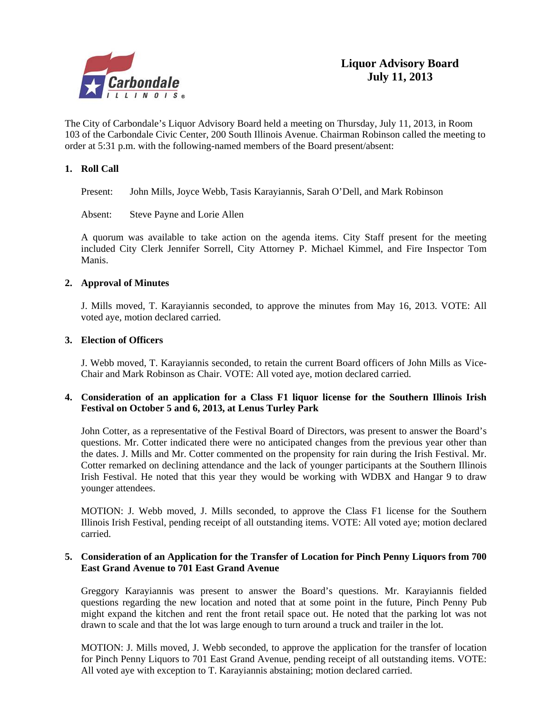

The City of Carbondale's Liquor Advisory Board held a meeting on Thursday, July 11, 2013, in Room 103 of the Carbondale Civic Center, 200 South Illinois Avenue. Chairman Robinson called the meeting to order at 5:31 p.m. with the following-named members of the Board present/absent:

#### **1. Roll Call**

Present: John Mills, Joyce Webb, Tasis Karayiannis, Sarah O'Dell, and Mark Robinson

Absent: Steve Payne and Lorie Allen

A quorum was available to take action on the agenda items. City Staff present for the meeting included City Clerk Jennifer Sorrell, City Attorney P. Michael Kimmel, and Fire Inspector Tom Manis.

#### **2. Approval of Minutes**

J. Mills moved, T. Karayiannis seconded, to approve the minutes from May 16, 2013. VOTE: All voted aye, motion declared carried.

#### **3. Election of Officers**

 J. Webb moved, T. Karayiannis seconded, to retain the current Board officers of John Mills as Vice-Chair and Mark Robinson as Chair. VOTE: All voted aye, motion declared carried.

#### **4. Consideration of an application for a Class F1 liquor license for the Southern Illinois Irish Festival on October 5 and 6, 2013, at Lenus Turley Park**

 John Cotter, as a representative of the Festival Board of Directors, was present to answer the Board's questions. Mr. Cotter indicated there were no anticipated changes from the previous year other than the dates. J. Mills and Mr. Cotter commented on the propensity for rain during the Irish Festival. Mr. Cotter remarked on declining attendance and the lack of younger participants at the Southern Illinois Irish Festival. He noted that this year they would be working with WDBX and Hangar 9 to draw younger attendees.

 MOTION: J. Webb moved, J. Mills seconded, to approve the Class F1 license for the Southern Illinois Irish Festival, pending receipt of all outstanding items. VOTE: All voted aye; motion declared carried.

#### **5. Consideration of an Application for the Transfer of Location for Pinch Penny Liquors from 700 East Grand Avenue to 701 East Grand Avenue**

Greggory Karayiannis was present to answer the Board's questions. Mr. Karayiannis fielded questions regarding the new location and noted that at some point in the future, Pinch Penny Pub might expand the kitchen and rent the front retail space out. He noted that the parking lot was not drawn to scale and that the lot was large enough to turn around a truck and trailer in the lot.

 MOTION: J. Mills moved, J. Webb seconded, to approve the application for the transfer of location for Pinch Penny Liquors to 701 East Grand Avenue, pending receipt of all outstanding items. VOTE: All voted aye with exception to T. Karayiannis abstaining; motion declared carried.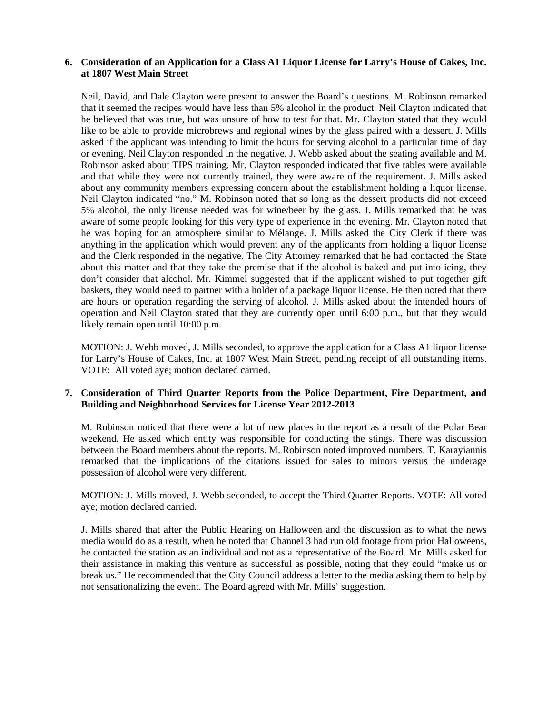#### **6. Consideration of an Application for a Class A1 Liquor License for Larry's House of Cakes, Inc. at 1807 West Main Street**

 Neil, David, and Dale Clayton were present to answer the Board's questions. M. Robinson remarked that it seemed the recipes would have less than 5% alcohol in the product. Neil Clayton indicated that he believed that was true, but was unsure of how to test for that. Mr. Clayton stated that they would like to be able to provide microbrews and regional wines by the glass paired with a dessert. J. Mills asked if the applicant was intending to limit the hours for serving alcohol to a particular time of day or evening. Neil Clayton responded in the negative. J. Webb asked about the seating available and M. Robinson asked about TIPS training. Mr. Clayton responded indicated that five tables were available and that while they were not currently trained, they were aware of the requirement. J. Mills asked about any community members expressing concern about the establishment holding a liquor license. Neil Clayton indicated "no." M. Robinson noted that so long as the dessert products did not exceed 5% alcohol, the only license needed was for wine/beer by the glass. J. Mills remarked that he was aware of some people looking for this very type of experience in the evening. Mr. Clayton noted that he was hoping for an atmosphere similar to Mélange. J. Mills asked the City Clerk if there was anything in the application which would prevent any of the applicants from holding a liquor license and the Clerk responded in the negative. The City Attorney remarked that he had contacted the State about this matter and that they take the premise that if the alcohol is baked and put into icing, they don't consider that alcohol. Mr. Kimmel suggested that if the applicant wished to put together gift baskets, they would need to partner with a holder of a package liquor license. He then noted that there are hours or operation regarding the serving of alcohol. J. Mills asked about the intended hours of operation and Neil Clayton stated that they are currently open until 6:00 p.m., but that they would likely remain open until 10:00 p.m.

 MOTION: J. Webb moved, J. Mills seconded, to approve the application for a Class A1 liquor license for Larry's House of Cakes, Inc. at 1807 West Main Street, pending receipt of all outstanding items. VOTE: All voted aye; motion declared carried.

#### **7. Consideration of Third Quarter Reports from the Police Department, Fire Department, and Building and Neighborhood Services for License Year 2012-2013**

M. Robinson noticed that there were a lot of new places in the report as a result of the Polar Bear weekend. He asked which entity was responsible for conducting the stings. There was discussion between the Board members about the reports. M. Robinson noted improved numbers. T. Karayiannis remarked that the implications of the citations issued for sales to minors versus the underage possession of alcohol were very different.

MOTION: J. Mills moved, J. Webb seconded, to accept the Third Quarter Reports. VOTE: All voted aye; motion declared carried.

 J. Mills shared that after the Public Hearing on Halloween and the discussion as to what the news media would do as a result, when he noted that Channel 3 had run old footage from prior Halloweens, he contacted the station as an individual and not as a representative of the Board. Mr. Mills asked for their assistance in making this venture as successful as possible, noting that they could "make us or break us." He recommended that the City Council address a letter to the media asking them to help by not sensationalizing the event. The Board agreed with Mr. Mills' suggestion.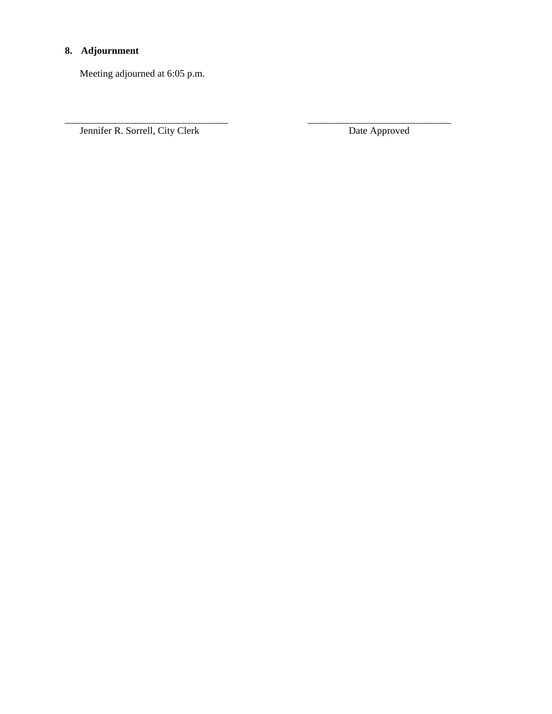# **8. Adjournment**

Meeting adjourned at 6:05 p.m.

Jennifer R. Sorrell, City Clerk Date Approved

\_\_\_\_\_\_\_\_\_\_\_\_\_\_\_\_\_\_\_\_\_\_\_\_\_\_\_\_\_\_\_\_\_ \_\_\_\_\_\_\_\_\_\_\_\_\_\_\_\_\_\_\_\_\_\_\_\_\_\_\_\_\_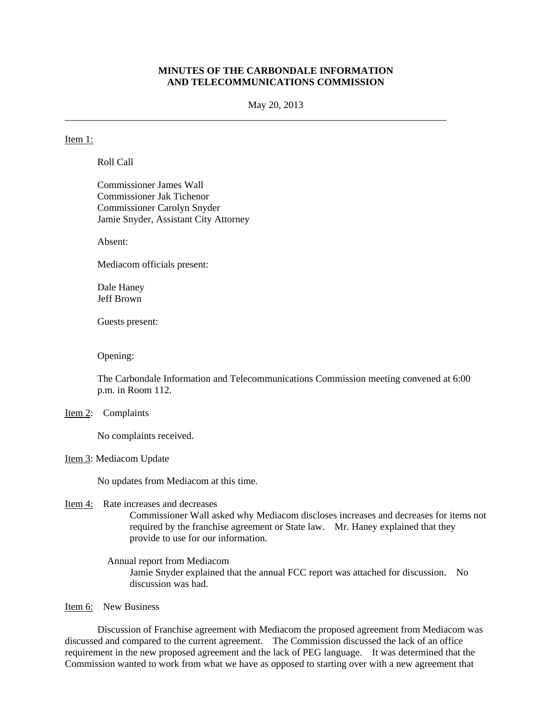#### **MINUTES OF THE CARBONDALE INFORMATION AND TELECOMMUNICATIONS COMMISSION**

May 20, 2013

\_\_\_\_\_\_\_\_\_\_\_\_\_\_\_\_\_\_\_\_\_\_\_\_\_\_\_\_\_\_\_\_\_\_\_\_\_\_\_\_\_\_\_\_\_\_\_\_\_\_\_\_\_\_\_\_\_\_\_\_\_\_\_\_\_\_\_\_\_\_\_\_\_\_\_\_\_

#### Item 1:

Roll Call

Commissioner James Wall Commissioner Jak Tichenor Commissioner Carolyn Snyder Jamie Snyder, Assistant City Attorney

Absent:

Mediacom officials present:

Dale Haney Jeff Brown

Guests present:

Opening:

The Carbondale Information and Telecommunications Commission meeting convened at 6:00 p.m. in Room 112.

#### Item 2: Complaints

No complaints received.

Item 3: Mediacom Update

No updates from Mediacom at this time.

- Item 4: Rate increases and decreases Commissioner Wall asked why Mediacom discloses increases and decreases for items not required by the franchise agreement or State law. Mr. Haney explained that they provide to use for our information.
	- Annual report from Mediacom Jamie Snyder explained that the annual FCC report was attached for discussion. No discussion was had.

Item 6: New Business

 Discussion of Franchise agreement with Mediacom the proposed agreement from Mediacom was discussed and compared to the current agreement. The Commission discussed the lack of an office requirement in the new proposed agreement and the lack of PEG language. It was determined that the Commission wanted to work from what we have as opposed to starting over with a new agreement that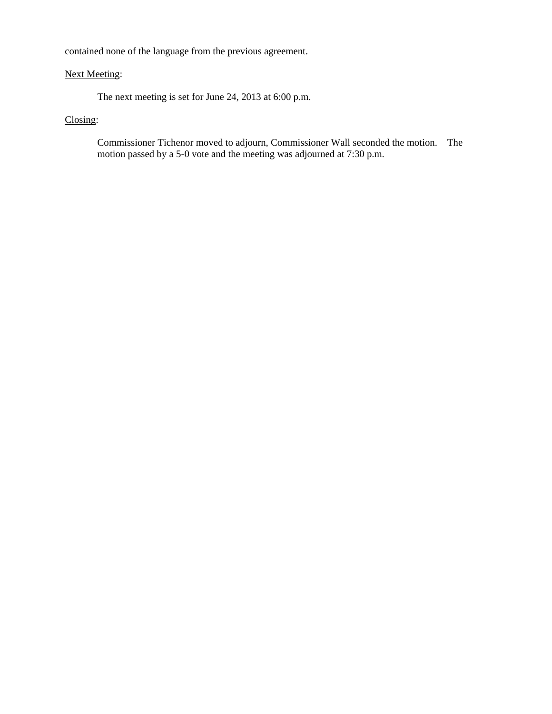contained none of the language from the previous agreement.

#### Next Meeting:

The next meeting is set for June 24, 2013 at 6:00 p.m.

## Closing:

Commissioner Tichenor moved to adjourn, Commissioner Wall seconded the motion. The motion passed by a 5-0 vote and the meeting was adjourned at 7:30 p.m.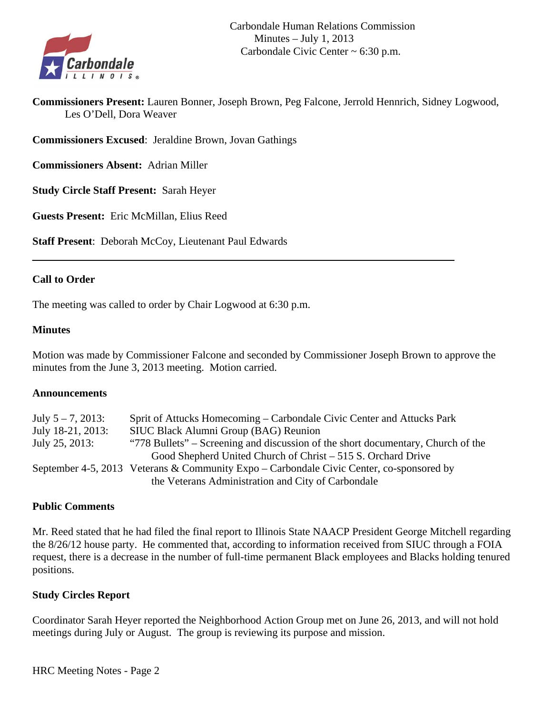

**Commissioners Present:** Lauren Bonner, Joseph Brown, Peg Falcone, Jerrold Hennrich, Sidney Logwood, Les O'Dell, Dora Weaver

**Commissioners Excused**: Jeraldine Brown, Jovan Gathings

**Commissioners Absent:** Adrian Miller

**Study Circle Staff Present:** Sarah Heyer

**Guests Present:** Eric McMillan, Elius Reed

**Staff Present**: Deborah McCoy, Lieutenant Paul Edwards

#### **Call to Order**

The meeting was called to order by Chair Logwood at 6:30 p.m.

#### **Minutes**

Motion was made by Commissioner Falcone and seconded by Commissioner Joseph Brown to approve the minutes from the June 3, 2013 meeting. Motion carried.

#### **Announcements**

| July $5 - 7$ , 2013: | Sprit of Attucks Homecoming – Carbondale Civic Center and Attucks Park                   |
|----------------------|------------------------------------------------------------------------------------------|
| July 18-21, 2013:    | SIUC Black Alumni Group (BAG) Reunion                                                    |
| July 25, 2013:       | "778 Bullets" – Screening and discussion of the short documentary, Church of the         |
|                      | Good Shepherd United Church of Christ – 515 S. Orchard Drive                             |
|                      | September 4-5, 2013 Veterans & Community Expo – Carbondale Civic Center, co-sponsored by |
|                      | the Veterans Administration and City of Carbondale                                       |

#### **Public Comments**

Mr. Reed stated that he had filed the final report to Illinois State NAACP President George Mitchell regarding the 8/26/12 house party. He commented that, according to information received from SIUC through a FOIA request, there is a decrease in the number of full-time permanent Black employees and Blacks holding tenured positions.

#### **Study Circles Report**

Coordinator Sarah Heyer reported the Neighborhood Action Group met on June 26, 2013, and will not hold meetings during July or August. The group is reviewing its purpose and mission.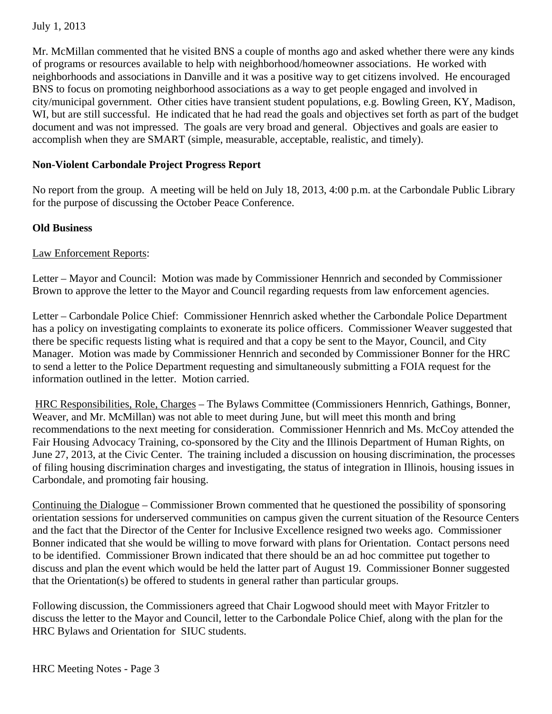## July 1, 2013

Mr. McMillan commented that he visited BNS a couple of months ago and asked whether there were any kinds of programs or resources available to help with neighborhood/homeowner associations. He worked with neighborhoods and associations in Danville and it was a positive way to get citizens involved. He encouraged BNS to focus on promoting neighborhood associations as a way to get people engaged and involved in city/municipal government. Other cities have transient student populations, e.g. Bowling Green, KY, Madison, WI, but are still successful. He indicated that he had read the goals and objectives set forth as part of the budget document and was not impressed. The goals are very broad and general. Objectives and goals are easier to accomplish when they are SMART (simple, measurable, acceptable, realistic, and timely).

## **Non-Violent Carbondale Project Progress Report**

No report from the group. A meeting will be held on July 18, 2013, 4:00 p.m. at the Carbondale Public Library for the purpose of discussing the October Peace Conference.

## **Old Business**

## Law Enforcement Reports:

Letter – Mayor and Council: Motion was made by Commissioner Hennrich and seconded by Commissioner Brown to approve the letter to the Mayor and Council regarding requests from law enforcement agencies.

Letter – Carbondale Police Chief: Commissioner Hennrich asked whether the Carbondale Police Department has a policy on investigating complaints to exonerate its police officers. Commissioner Weaver suggested that there be specific requests listing what is required and that a copy be sent to the Mayor, Council, and City Manager. Motion was made by Commissioner Hennrich and seconded by Commissioner Bonner for the HRC to send a letter to the Police Department requesting and simultaneously submitting a FOIA request for the information outlined in the letter. Motion carried.

 HRC Responsibilities, Role, Charges – The Bylaws Committee (Commissioners Hennrich, Gathings, Bonner, Weaver, and Mr. McMillan) was not able to meet during June, but will meet this month and bring recommendations to the next meeting for consideration. Commissioner Hennrich and Ms. McCoy attended the Fair Housing Advocacy Training, co-sponsored by the City and the Illinois Department of Human Rights, on June 27, 2013, at the Civic Center. The training included a discussion on housing discrimination, the processes of filing housing discrimination charges and investigating, the status of integration in Illinois, housing issues in Carbondale, and promoting fair housing.

Continuing the Dialogue – Commissioner Brown commented that he questioned the possibility of sponsoring orientation sessions for underserved communities on campus given the current situation of the Resource Centers and the fact that the Director of the Center for Inclusive Excellence resigned two weeks ago. Commissioner Bonner indicated that she would be willing to move forward with plans for Orientation. Contact persons need to be identified. Commissioner Brown indicated that there should be an ad hoc committee put together to discuss and plan the event which would be held the latter part of August 19. Commissioner Bonner suggested that the Orientation(s) be offered to students in general rather than particular groups.

Following discussion, the Commissioners agreed that Chair Logwood should meet with Mayor Fritzler to discuss the letter to the Mayor and Council, letter to the Carbondale Police Chief, along with the plan for the HRC Bylaws and Orientation for SIUC students.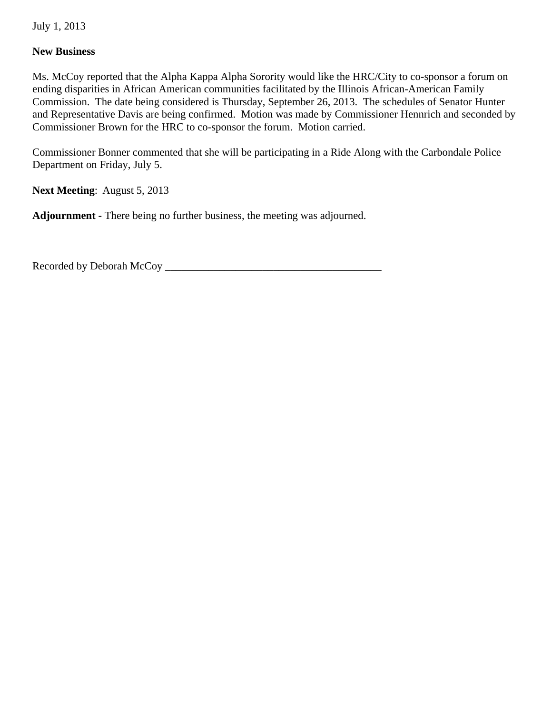July 1, 2013

## **New Business**

Ms. McCoy reported that the Alpha Kappa Alpha Sorority would like the HRC/City to co-sponsor a forum on ending disparities in African American communities facilitated by the Illinois African-American Family Commission. The date being considered is Thursday, September 26, 2013. The schedules of Senator Hunter and Representative Davis are being confirmed. Motion was made by Commissioner Hennrich and seconded by Commissioner Brown for the HRC to co-sponsor the forum. Motion carried.

Commissioner Bonner commented that she will be participating in a Ride Along with the Carbondale Police Department on Friday, July 5.

**Next Meeting**: August 5, 2013

**Adjournment -** There being no further business, the meeting was adjourned.

Recorded by Deborah McCoy \_\_\_\_\_\_\_\_\_\_\_\_\_\_\_\_\_\_\_\_\_\_\_\_\_\_\_\_\_\_\_\_\_\_\_\_\_\_\_\_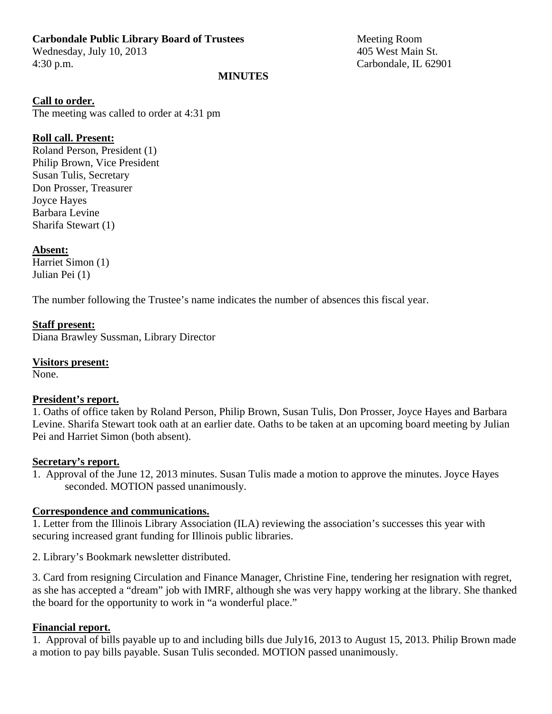## **Carbondale Public Library Board of Trustees** Meeting Room

Wednesday, July 10, 2013 405 West Main St. 4:30 p.m. Carbondale, IL 62901

## **MINUTES**

## **Call to order.**

The meeting was called to order at 4:31 pm

## **Roll call. Present:**

Roland Person, President (1) Philip Brown, Vice President Susan Tulis, Secretary Don Prosser, Treasurer Joyce Hayes Barbara Levine Sharifa Stewart (1)

## **Absent:**

Harriet Simon (1) Julian Pei (1)

The number following the Trustee's name indicates the number of absences this fiscal year.

## **Staff present:**

Diana Brawley Sussman, Library Director

# **Visitors present:**

None.

## **President's report.**

1. Oaths of office taken by Roland Person, Philip Brown, Susan Tulis, Don Prosser, Joyce Hayes and Barbara Levine. Sharifa Stewart took oath at an earlier date. Oaths to be taken at an upcoming board meeting by Julian Pei and Harriet Simon (both absent).

## **Secretary's report.**

1. Approval of the June 12, 2013 minutes. Susan Tulis made a motion to approve the minutes. Joyce Hayes seconded. MOTION passed unanimously.

## **Correspondence and communications.**

1. Letter from the Illinois Library Association (ILA) reviewing the association's successes this year with securing increased grant funding for Illinois public libraries.

2. Library's Bookmark newsletter distributed.

3. Card from resigning Circulation and Finance Manager, Christine Fine, tendering her resignation with regret, as she has accepted a "dream" job with IMRF, although she was very happy working at the library. She thanked the board for the opportunity to work in "a wonderful place."

## **Financial report.**

1. Approval of bills payable up to and including bills due July16, 2013 to August 15, 2013. Philip Brown made a motion to pay bills payable. Susan Tulis seconded. MOTION passed unanimously.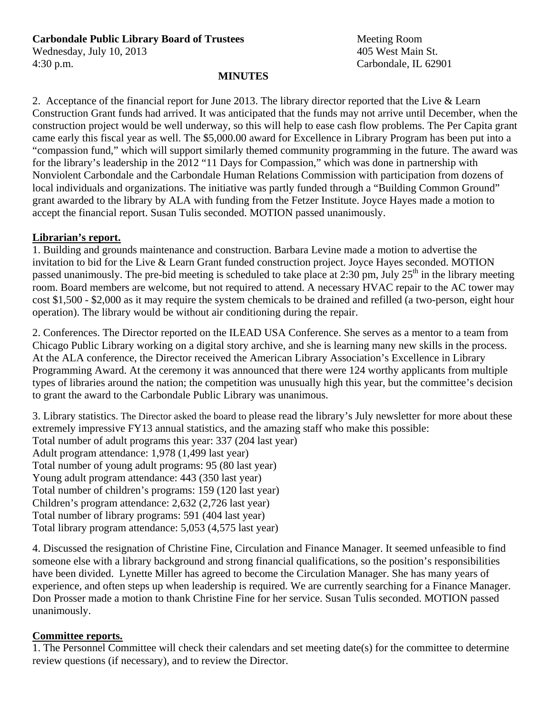# **Carbondale Public Library Board of Trustees** Meeting Room

Wednesday, July 10, 2013 405 West Main St. 4:30 p.m. Carbondale, IL 62901

#### **MINUTES**

2. Acceptance of the financial report for June 2013. The library director reported that the Live & Learn Construction Grant funds had arrived. It was anticipated that the funds may not arrive until December, when the construction project would be well underway, so this will help to ease cash flow problems. The Per Capita grant came early this fiscal year as well. The \$5,000.00 award for Excellence in Library Program has been put into a "compassion fund," which will support similarly themed community programming in the future. The award was for the library's leadership in the 2012 "11 Days for Compassion," which was done in partnership with Nonviolent Carbondale and the Carbondale Human Relations Commission with participation from dozens of local individuals and organizations. The initiative was partly funded through a "Building Common Ground" grant awarded to the library by ALA with funding from the Fetzer Institute. Joyce Hayes made a motion to accept the financial report. Susan Tulis seconded. MOTION passed unanimously.

### **Librarian's report.**

1. Building and grounds maintenance and construction. Barbara Levine made a motion to advertise the invitation to bid for the Live & Learn Grant funded construction project. Joyce Hayes seconded. MOTION passed unanimously. The pre-bid meeting is scheduled to take place at 2:30 pm, July  $25<sup>th</sup>$  in the library meeting room. Board members are welcome, but not required to attend. A necessary HVAC repair to the AC tower may cost \$1,500 - \$2,000 as it may require the system chemicals to be drained and refilled (a two-person, eight hour operation). The library would be without air conditioning during the repair.

2. Conferences. The Director reported on the ILEAD USA Conference. She serves as a mentor to a team from Chicago Public Library working on a digital story archive, and she is learning many new skills in the process. At the ALA conference, the Director received the American Library Association's Excellence in Library Programming Award. At the ceremony it was announced that there were 124 worthy applicants from multiple types of libraries around the nation; the competition was unusually high this year, but the committee's decision to grant the award to the Carbondale Public Library was unanimous.

3. Library statistics. The Director asked the board to please read the library's July newsletter for more about these extremely impressive FY13 annual statistics, and the amazing staff who make this possible: Total number of adult programs this year: 337 (204 last year) Adult program attendance: 1,978 (1,499 last year) Total number of young adult programs: 95 (80 last year) Young adult program attendance: 443 (350 last year) Total number of children's programs: 159 (120 last year) Children's program attendance: 2,632 (2,726 last year) Total number of library programs: 591 (404 last year) Total library program attendance: 5,053 (4,575 last year)

4. Discussed the resignation of Christine Fine, Circulation and Finance Manager. It seemed unfeasible to find someone else with a library background and strong financial qualifications, so the position's responsibilities have been divided. Lynette Miller has agreed to become the Circulation Manager. She has many years of experience, and often steps up when leadership is required. We are currently searching for a Finance Manager. Don Prosser made a motion to thank Christine Fine for her service. Susan Tulis seconded. MOTION passed unanimously.

#### **Committee reports.**

1. The Personnel Committee will check their calendars and set meeting date(s) for the committee to determine review questions (if necessary), and to review the Director.